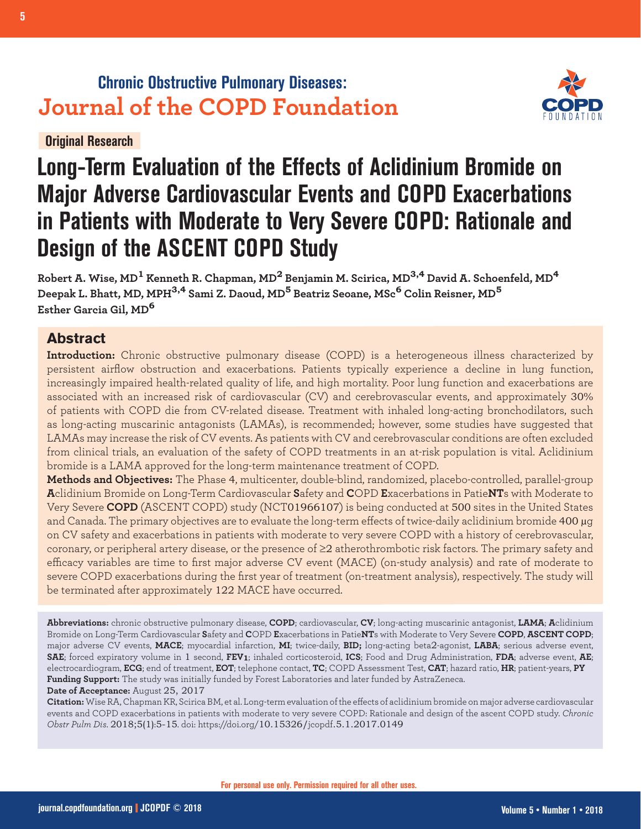# **Chronic Obstructive Pulmonary Diseases: Journal of the COPD Foundation**



# **Original Research**

# **Long-Term Evaluation of the Effects of Aclidinium Bromide on Major Adverse Cardiovascular Events and COPD Exacerbations in Patients with Moderate to Very Severe COPD: Rationale and Design of the ASCENT COPD Study**

**Robert A. Wise, MD1 Kenneth R. Chapman, MD2 Benjamin M. Scirica, MD3,4 David A. Schoenfeld, MD<sup>4</sup> Deepak L. Bhatt, MD, MPH3,4 Sami Z. Daoud, MD5 Beatriz Seoane, MSc6 Colin Reisner, MD<sup>5</sup> Esther Garcia Gil, MD<sup>6</sup>**

# **Abstract**

**Introduction:** Chronic obstructive pulmonary disease (COPD) is a heterogeneous illness characterized by persistent airflow obstruction and exacerbations. Patients typically experience a decline in lung function, increasingly impaired health-related quality of life, and high mortality. Poor lung function and exacerbations are associated with an increased risk of cardiovascular (CV) and cerebrovascular events, and approximately 30% of patients with COPD die from CV-related disease. Treatment with inhaled long-acting bronchodilators, such as long-acting muscarinic antagonists (LAMAs), is recommended; however, some studies have suggested that LAMAs may increase the risk of CV events. As patients with CV and cerebrovascular conditions are often excluded from clinical trials, an evaluation of the safety of COPD treatments in an at-risk population is vital. Aclidinium bromide is a LAMA approved for the long-term maintenance treatment of COPD.

**Methods and Objectives:** The Phase 4, multicenter, double-blind, randomized, placebo-controlled, parallel-group **A**clidinium Bromide on Long-Term Cardiovascular **S**afety and **C**OPD **E**xacerbations in Patie**NT**s with Moderate to Very Severe **COPD** (ASCENT COPD) study (NCT01966107) is being conducted at 500 sites in the United States and Canada. The primary objectives are to evaluate the long-term effects of twice-daily aclidinium bromide 400 µg on CV safety and exacerbations in patients with moderate to very severe COPD with a history of cerebrovascular, coronary, or peripheral artery disease, or the presence of ≥2 atherothrombotic risk factors. The primary safety and efficacy variables are time to first major adverse CV event (MACE) (on-study analysis) and rate of moderate to severe COPD exacerbations during the first year of treatment (on-treatment analysis), respectively. The study will be terminated after approximately 122 MACE have occurred.

**Abbreviations:** chronic obstructive pulmonary disease, **COPD**; cardiovascular, **CV**; long-acting muscarinic antagonist, **LAMA**; **A**clidinium Bromide on Long-Term Cardiovascular **S**afety and **C**OPD **E**xacerbations in Patie**NT**s with Moderate to Very Severe **COPD**, **ASCENT COPD**; major adverse CV events, **MACE**; myocardial infarction, **MI**; twice-daily, **BID;** long-acting beta2-agonist, **LABA**; serious adverse event, **SAE**; forced expiratory volume in 1 second, **FEV1**; inhaled corticosteroid, **ICS**; Food and Drug Administration, **FDA**; adverse event, **AE**; electrocardiogram, **ECG**; end of treatment, **EOT**; telephone contact, **TC**; COPD Assessment Test, **CAT**; hazard ratio, **HR**; patient-years, **PY Funding Support:** The study was initially funded by Forest Laboratories and later funded by AstraZeneca. **Date of Acceptance:** August 25, 2017

**Citation:** Wise RA, Chapman KR, Scirica BM, et al. Long-term evaluation of the effects of aclidinium bromide on major adverse cardiovascular events and COPD exacerbations in patients with moderate to very severe COPD: Rationale and design of the ascent COPD study. *Chronic Obstr Pulm Dis*. 2018;5(1):5-15. doi: https://doi.org/10.15326/jcopdf.5.1.2017.0149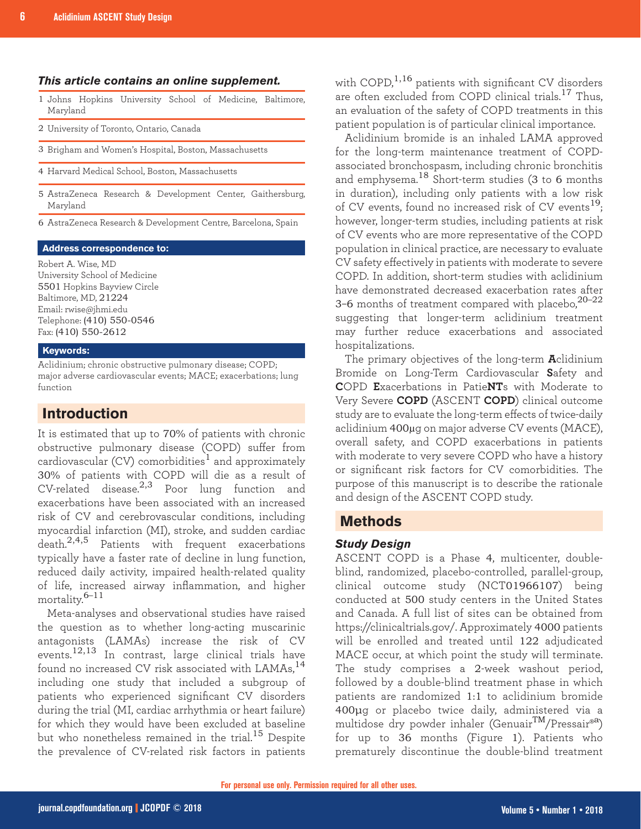#### *This article contains an online supplement.*

- 1 Johns Hopkins University School of Medicine, Baltimore, Maryland
- 2 University of Toronto, Ontario, Canada
- 3 Brigham and Women's Hospital, Boston, Massachusetts
- 4 Harvard Medical School, Boston, Massachusetts
- 5 AstraZeneca Research & Development Center, Gaithersburg, Maryland
- 6 AstraZeneca Research & Development Centre, Barcelona, Spain

#### **Address correspondence to:**

Robert A. Wise, MD University School of Medicine 5501 Hopkins Bayview Circle Baltimore, MD, 21224 Email: rwise@jhmi.edu Telephone: (410) 550-0546 Fax: (410) 550-2612

#### **Keywords:**

Aclidinium; chronic obstructive pulmonary disease; COPD; major adverse cardiovascular events; MACE; exacerbations; lung function

## **Introduction**

It is estimated that up to 70% of patients with chronic obstructive pulmonary disease (COPD) suffer from cardiovascular (CV) comorbidities<sup>1</sup> and approximately 30% of patients with COPD will die as a result of  $CV$ -related disease.<sup>2,3</sup> Poor lung function and exacerbations have been associated with an increased risk of CV and cerebrovascular conditions, including myocardial infarction (MI), stroke, and sudden cardiac death.2,4,5 Patients with frequent exacerbations typically have a faster rate of decline in lung function, reduced daily activity, impaired health-related quality of life, increased airway inflammation, and higher mortality. $6-11$ 

Meta-analyses and observational studies have raised the question as to whether long-acting muscarinic antagonists (LAMAs) increase the risk of CV events.12,13 In contrast, large clinical trials have found no increased CV risk associated with LAMAs,<sup>14</sup> including one study that included a subgroup of patients who experienced significant CV disorders during the trial (MI, cardiac arrhythmia or heart failure) for which they would have been excluded at baseline but who nonetheless remained in the trial.<sup>15</sup> Despite the prevalence of CV-related risk factors in patients

with COPD, $^{1,16}$  patients with significant CV disorders are often excluded from COPD clinical trials.<sup>17</sup> Thus, an evaluation of the safety of COPD treatments in this patient population is of particular clinical importance.

Aclidinium bromide is an inhaled LAMA approved for the long-term maintenance treatment of COPDassociated bronchospasm, including chronic bronchitis and emphysema.<sup>18</sup> Short-term studies (3 to 6 months in duration), including only patients with a low risk of CV events, found no increased risk of CV events<sup>19</sup>; however, longer-term studies, including patients at risk of CV events who are more representative of the COPD population in clinical practice, are necessary to evaluate CV safety effectively in patients with moderate to severe COPD. In addition, short-term studies with aclidinium have demonstrated decreased exacerbation rates after 3-6 months of treatment compared with placebo, $20-22$ suggesting that longer-term aclidinium treatment may further reduce exacerbations and associated hospitalizations.

The primary objectives of the long-term **A**clidinium Bromide on Long-Term Cardiovascular **S**afety and **C**OPD **E**xacerbations in Patie**NT**s with Moderate to Very Severe **COPD** (ASCENT **COPD**) clinical outcome study are to evaluate the long-term effects of twice-daily aclidinium 400µg on major adverse CV events (MACE), overall safety, and COPD exacerbations in patients with moderate to very severe COPD who have a history or significant risk factors for CV comorbidities. The purpose of this manuscript is to describe the rationale and design of the ASCENT COPD study.

#### **Methods**

#### *Study Design*

ASCENT COPD is a Phase 4, multicenter, doubleblind, randomized, placebo-controlled, parallel-group, clinical outcome study (NCT01966107) being conducted at 500 study centers in the United States and Canada. A full list of sites can be obtained from https://clinicaltrials.gov/. Approximately 4000 patients will be enrolled and treated until 122 adjudicated MACE occur, at which point the study will terminate. The study comprises a 2-week washout period, followed by a double-blind treatment phase in which patients are randomized 1:1 to aclidinium bromide 400μg or placebo twice daily, administered via a multidose dry powder inhaler (Genuair<sup>TM</sup>/Pressair®<sup>a</sup>) for up to 36 months (Figure 1). Patients who prematurely discontinue the double-blind treatment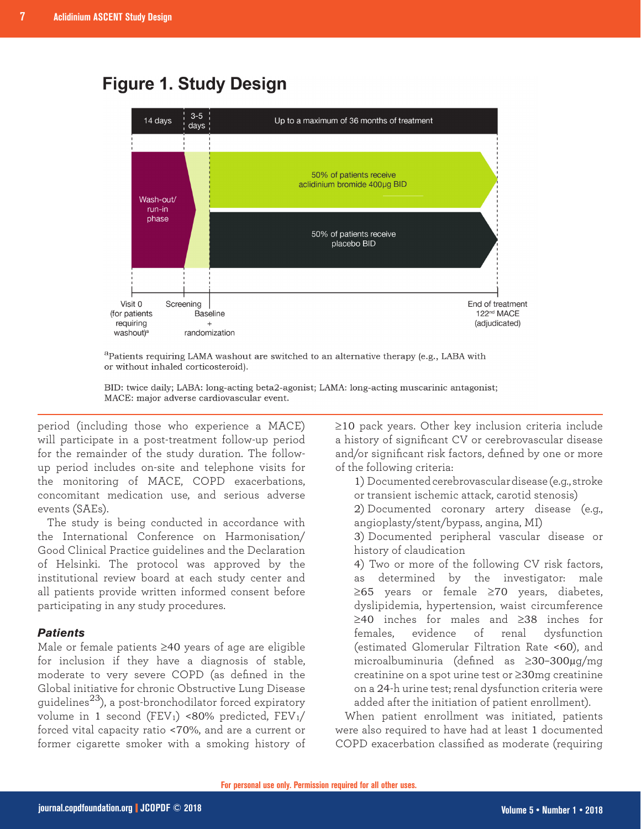# **Figure 1. Study Design**



<sup>a</sup>Patients requiring LAMA washout are switched to an alternative therapy (e.g., LABA with or without inhaled corticosteroid).

BID: twice daily; LABA: long-acting beta2-agonist; LAMA: long-acting muscarinic antagonist; MACE: major adverse cardiovascular event.

period (including those who experience a MACE) will participate in a post-treatment follow-up period for the remainder of the study duration. The followup period includes on-site and telephone visits for the monitoring of MACE, COPD exacerbations, concomitant medication use, and serious adverse events (SAEs).

The study is being conducted in accordance with the International Conference on Harmonisation/ Good Clinical Practice guidelines and the Declaration of Helsinki. The protocol was approved by the institutional review board at each study center and all patients provide written informed consent before participating in any study procedures.

### *Patients*

Male or female patients ≥40 years of age are eligible for inclusion if they have a diagnosis of stable, moderate to very severe COPD (as defined in the Global initiative for chronic Obstructive Lung Disease guidelines<sup>23</sup>), a post-bronchodilator forced expiratory volume in 1 second (FEV<sub>1</sub>) <80% predicted, FEV<sub>1</sub>/ forced vital capacity ratio <70%, and are a current or former cigarette smoker with a smoking history of ≥10 pack years. Other key inclusion criteria include a history of significant CV or cerebrovascular disease and/or significant risk factors, defined by one or more of the following criteria:

1) Documented cerebrovascular disease (e.g., stroke or transient ischemic attack, carotid stenosis)

2) Documented coronary artery disease (e.g., angioplasty/stent/bypass, angina, MI)

3) Documented peripheral vascular disease or history of claudication

4) Two or more of the following CV risk factors, as determined by the investigator: male ≥65 years or female ≥70 years, diabetes, dyslipidemia, hypertension, waist circumference ≥40 inches for males and ≥38 inches for females, evidence of renal dysfunction (estimated Glomerular Filtration Rate <60), and microalbuminuria (defined as ≥30–300µg/mg creatinine on a spot urine test or ≥30mg creatinine on a 24-h urine test; renal dysfunction criteria were added after the initiation of patient enrollment).

When patient enrollment was initiated, patients were also required to have had at least 1 documented COPD exacerbation classified as moderate (requiring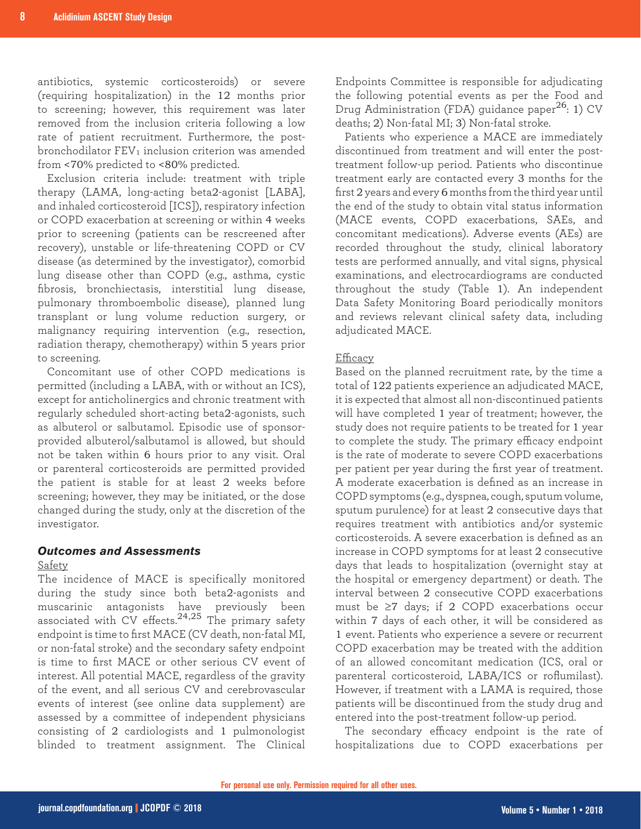antibiotics, systemic corticosteroids) or severe (requiring hospitalization) in the 12 months prior to screening; however, this requirement was later removed from the inclusion criteria following a low rate of patient recruitment. Furthermore, the postbronchodilator  $FEV<sub>1</sub>$  inclusion criterion was amended from <70% predicted to <80% predicted.

Exclusion criteria include: treatment with triple therapy (LAMA, long-acting beta2-agonist [LABA], and inhaled corticosteroid [ICS]), respiratory infection or COPD exacerbation at screening or within 4 weeks prior to screening (patients can be rescreened after recovery), unstable or life-threatening COPD or CV disease (as determined by the investigator), comorbid lung disease other than COPD (e.g., asthma, cystic fibrosis, bronchiectasis, interstitial lung disease, pulmonary thromboembolic disease), planned lung transplant or lung volume reduction surgery, or malignancy requiring intervention (e.g., resection, radiation therapy, chemotherapy) within 5 years prior to screening.

Concomitant use of other COPD medications is permitted (including a LABA, with or without an ICS), except for anticholinergics and chronic treatment with regularly scheduled short-acting beta2-agonists, such as albuterol or salbutamol. Episodic use of sponsorprovided albuterol/salbutamol is allowed, but should not be taken within 6 hours prior to any visit. Oral or parenteral corticosteroids are permitted provided the patient is stable for at least 2 weeks before screening; however, they may be initiated, or the dose changed during the study, only at the discretion of the investigator.

#### *Outcomes and Assessments*

#### Safety

The incidence of MACE is specifically monitored during the study since both beta2-agonists and muscarinic antagonists have previously been associated with CV effects.<sup>24,25</sup> The primary safety endpoint is time to first MACE (CV death, non-fatal MI, or non-fatal stroke) and the secondary safety endpoint is time to first MACE or other serious CV event of interest. All potential MACE, regardless of the gravity of the event, and all serious CV and cerebrovascular events of interest (see [online data supplement](http://www.journal.copdfoundation.org)) are assessed by a committee of independent physicians consisting of 2 cardiologists and 1 pulmonologist blinded to treatment assignment. The Clinical

Endpoints Committee is responsible for adjudicating the following potential events as per the Food and Drug Administration (FDA) guidance paper<sup>26</sup>: 1) CV deaths; 2) Non-fatal MI; 3) Non-fatal stroke.

Patients who experience a MACE are immediately discontinued from treatment and will enter the posttreatment follow-up period. Patients who discontinue treatment early are contacted every 3 months for the first 2 years and every 6 months from the third year until the end of the study to obtain vital status information (MACE events, COPD exacerbations, SAEs, and concomitant medications). Adverse events (AEs) are recorded throughout the study, clinical laboratory tests are performed annually, and vital signs, physical examinations, and electrocardiograms are conducted throughout the study (Table 1). An independent Data Safety Monitoring Board periodically monitors and reviews relevant clinical safety data, including adjudicated MACE.

#### Efficacy

Based on the planned recruitment rate, by the time a total of 122 patients experience an adjudicated MACE, it is expected that almost all non-discontinued patients will have completed 1 year of treatment; however, the study does not require patients to be treated for 1 year to complete the study. The primary efficacy endpoint is the rate of moderate to severe COPD exacerbations per patient per year during the first year of treatment. A moderate exacerbation is defined as an increase in COPD symptoms (e.g., dyspnea, cough, sputum volume, sputum purulence) for at least 2 consecutive days that requires treatment with antibiotics and/or systemic corticosteroids. A severe exacerbation is defined as an increase in COPD symptoms for at least 2 consecutive days that leads to hospitalization (overnight stay at the hospital or emergency department) or death. The interval between 2 consecutive COPD exacerbations must be ≥7 days; if 2 COPD exacerbations occur within 7 days of each other, it will be considered as 1 event. Patients who experience a severe or recurrent COPD exacerbation may be treated with the addition of an allowed concomitant medication (ICS, oral or parenteral corticosteroid, LABA/ICS or roflumilast). However, if treatment with a LAMA is required, those patients will be discontinued from the study drug and entered into the post-treatment follow-up period.

The secondary efficacy endpoint is the rate of hospitalizations due to COPD exacerbations per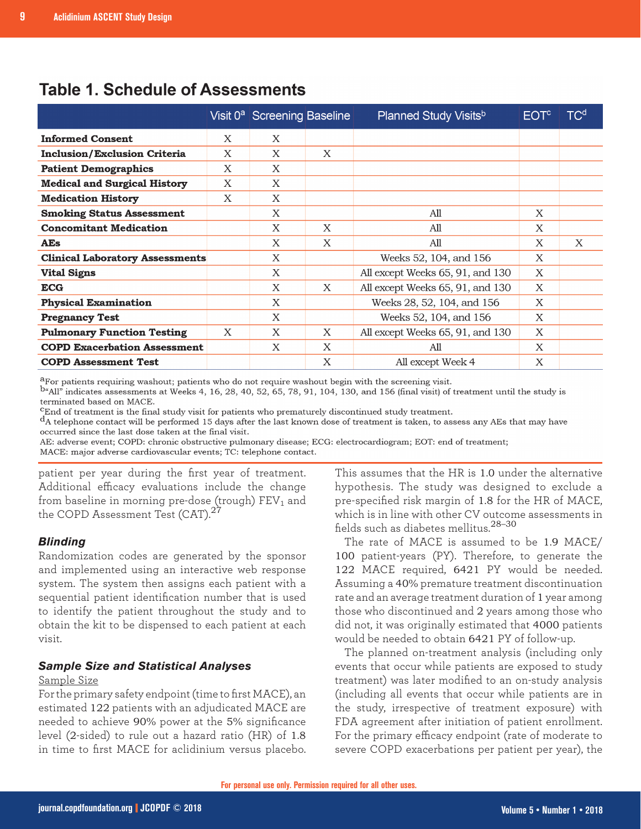|                                        |   | Visit 0 <sup>a</sup> Screening Baseline |   | <b>Planned Study Visits</b> b    | <b>EOT<sup>c</sup></b> | $\mathsf{TC}^\mathsf{d}$ |
|----------------------------------------|---|-----------------------------------------|---|----------------------------------|------------------------|--------------------------|
| <b>Informed Consent</b>                | X | X                                       |   |                                  |                        |                          |
| <b>Inclusion/Exclusion Criteria</b>    | X | X                                       | X |                                  |                        |                          |
| <b>Patient Demographics</b>            | X | X                                       |   |                                  |                        |                          |
| <b>Medical and Surgical History</b>    | X | X                                       |   |                                  |                        |                          |
| <b>Medication History</b>              | X | X                                       |   |                                  |                        |                          |
| <b>Smoking Status Assessment</b>       |   | X                                       |   | All                              | X                      |                          |
| <b>Concomitant Medication</b>          |   | X                                       | X | All                              | X                      |                          |
| <b>AEs</b>                             |   | X                                       | X | A11                              | X                      | X                        |
| <b>Clinical Laboratory Assessments</b> |   | X                                       |   | Weeks 52, 104, and 156           | X                      |                          |
| <b>Vital Signs</b>                     |   | X                                       |   | All except Weeks 65, 91, and 130 | X                      |                          |
| <b>ECG</b>                             |   | X                                       | X | All except Weeks 65, 91, and 130 | X                      |                          |
| <b>Physical Examination</b>            |   | X                                       |   | Weeks 28, 52, 104, and 156       | X                      |                          |
| <b>Pregnancy Test</b>                  |   | X                                       |   | Weeks 52, 104, and 156           | X                      |                          |
| <b>Pulmonary Function Testing</b>      | X | X                                       | X | All except Weeks 65, 91, and 130 | X                      |                          |
| <b>COPD Exacerbation Assessment</b>    |   | X                                       | X | All                              | X                      |                          |
| <b>COPD Assessment Test</b>            |   |                                         | X | All except Week 4                | X                      |                          |

# **Table 1. Schedule of Assessments**

<sup>a</sup>For patients requiring washout; patients who do not require washout begin with the screening visit.

 $b^{\mu}$ All<sup>n</sup> indicates assessments at Weeks 4, 16, 28, 40, 52, 65, 78, 91, 104, 130, and 156 (final visit) of treatment until the study is terminated based on MACE.

 ${}^{\text{c}}$ End of treatment is the final study visit for patients who prematurely discontinued study treatment.  $d_A$  telephone contact will be performed 15 days after the last known dose of treatment is taken, to assess any AEs that may have occurred since the last dose taken at the final visit.

AE: adverse event; COPD: chronic obstructive pulmonary disease; ECG: electrocardiogram; EOT: end of treatment; MACE: major adverse cardiovascular events; TC: telephone contact.

patient per year during the first year of treatment. Additional efficacy evaluations include the change from baseline in morning pre-dose (trough)  $\text{FEV}_1$  and the COPD Assessment Test (CAT). $^{27}$ 

#### *Blinding*

Randomization codes are generated by the sponsor and implemented using an interactive web response system. The system then assigns each patient with a sequential patient identification number that is used to identify the patient throughout the study and to obtain the kit to be dispensed to each patient at each visit.

#### *Sample Size and Statistical Analyses*

#### Sample Size

For the primary safety endpoint (time to first MACE), an estimated 122 patients with an adjudicated MACE are needed to achieve 90% power at the 5% significance level (2-sided) to rule out a hazard ratio (HR) of 1.8 in time to first MACE for aclidinium versus placebo.

This assumes that the HR is 1.0 under the alternative hypothesis. The study was designed to exclude a pre-specified risk margin of 1.8 for the HR of MACE, which is in line with other CV outcome assessments in fields such as diabetes mellitus.28–30

The rate of MACE is assumed to be 1.9 MACE/ 100 patient-years (PY). Therefore, to generate the 122 MACE required, 6421 PY would be needed. Assuming a 40% premature treatment discontinuation rate and an average treatment duration of 1 year among those who discontinued and 2 years among those who did not, it was originally estimated that 4000 patients would be needed to obtain 6421 PY of follow-up.

The planned on-treatment analysis (including only events that occur while patients are exposed to study treatment) was later modified to an on-study analysis (including all events that occur while patients are in the study, irrespective of treatment exposure) with FDA agreement after initiation of patient enrollment. For the primary efficacy endpoint (rate of moderate to severe COPD exacerbations per patient per year), the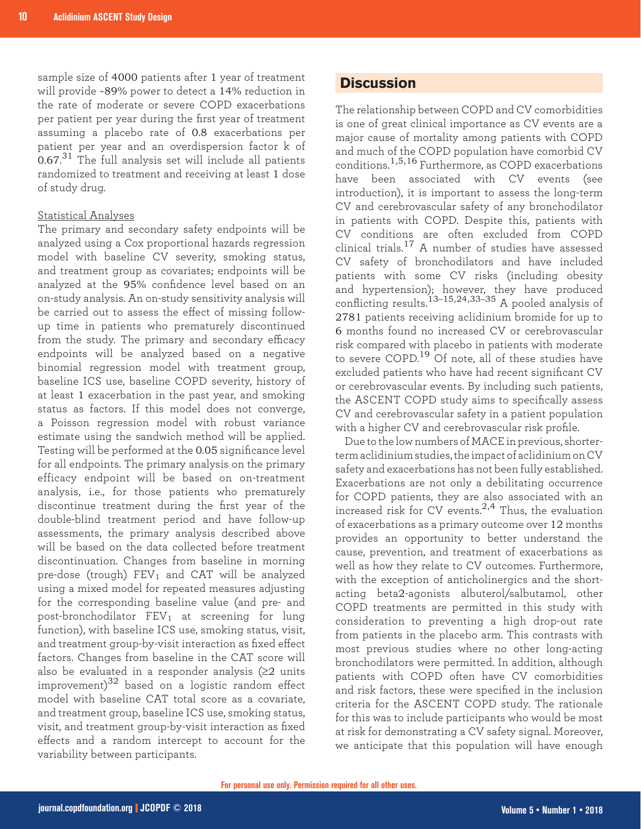sample size of 4000 patients after 1 year of treatment will provide ~89% power to detect a 14% reduction in the rate of moderate or severe COPD exacerbations per patient per year during the first year of treatment assuming a placebo rate of 0.8 exacerbations per patient per year and an overdispersion factor k of  $0.67.^31$  The full analysis set will include all patients randomized to treatment and receiving at least 1 dose of study drug.

#### Statistical Analyses

The primary and secondary safety endpoints will be analyzed using a Cox proportional hazards regression model with baseline CV severity, smoking status, and treatment group as covariates; endpoints will be analyzed at the 95% confidence level based on an on-study analysis. An on-study sensitivity analysis will be carried out to assess the effect of missing followup time in patients who prematurely discontinued from the study. The primary and secondary efficacy endpoints will be analyzed based on a negative binomial regression model with treatment group, baseline ICS use, baseline COPD severity, history of at least 1 exacerbation in the past year, and smoking status as factors. If this model does not converge, a Poisson regression model with robust variance estimate using the sandwich method will be applied. Testing will be performed at the 0.05 significance level for all endpoints. The primary analysis on the primary efficacy endpoint will be based on on-treatment analysis, i.e., for those patients who prematurely discontinue treatment during the first year of the double-blind treatment period and have follow-up assessments, the primary analysis described above will be based on the data collected before treatment discontinuation. Changes from baseline in morning pre-dose (trough)  $FEV_1$  and CAT will be analyzed using a mixed model for repeated measures adjusting for the corresponding baseline value (and pre- and post-bronchodilator  $FEV_1$  at screening for lung function), with baseline ICS use, smoking status, visit, and treatment group-by-visit interaction as fixed effect factors. Changes from baseline in the CAT score will also be evaluated in a responder analysis (≥2 units improvement) $32$  based on a logistic random effect model with baseline CAT total score as a covariate, and treatment group, baseline ICS use, smoking status, visit, and treatment group-by-visit interaction as fixed effects and a random intercept to account for the variability between participants.

### **Discussion**

The relationship between COPD and CV comorbidities is one of great clinical importance as CV events are a major cause of mortality among patients with COPD and much of the COPD population have comorbid CV conditions.1,5,16 Furthermore, as COPD exacerbations have been associated with CV events (see introduction), it is important to assess the long-term CV and cerebrovascular safety of any bronchodilator in patients with COPD. Despite this, patients with CV conditions are often excluded from COPD clinical trials.17 A number of studies have assessed CV safety of bronchodilators and have included patients with some CV risks (including obesity and hypertension); however, they have produced conflicting results.13–15,24,33–35 A pooled analysis of 2781 patients receiving aclidinium bromide for up to 6 months found no increased CV or cerebrovascular risk compared with placebo in patients with moderate to severe COPD.19 Of note, all of these studies have excluded patients who have had recent significant CV or cerebrovascular events. By including such patients, the ASCENT COPD study aims to specifically assess CV and cerebrovascular safety in a patient population with a higher CV and cerebrovascular risk profile.

Due to the low numbers of MACE in previous, shorterterm aclidinium studies, the impact of aclidinium on CV safety and exacerbations has not been fully established. Exacerbations are not only a debilitating occurrence for COPD patients, they are also associated with an increased risk for CV events. $2,4$  Thus, the evaluation of exacerbations as a primary outcome over 12 months provides an opportunity to better understand the cause, prevention, and treatment of exacerbations as well as how they relate to CV outcomes. Furthermore, with the exception of anticholinergics and the shortacting beta2-agonists albuterol/salbutamol, other COPD treatments are permitted in this study with consideration to preventing a high drop-out rate from patients in the placebo arm. This contrasts with most previous studies where no other long-acting bronchodilators were permitted. In addition, although patients with COPD often have CV comorbidities and risk factors, these were specified in the inclusion criteria for the ASCENT COPD study. The rationale for this was to include participants who would be most at risk for demonstrating a CV safety signal. Moreover, we anticipate that this population will have enough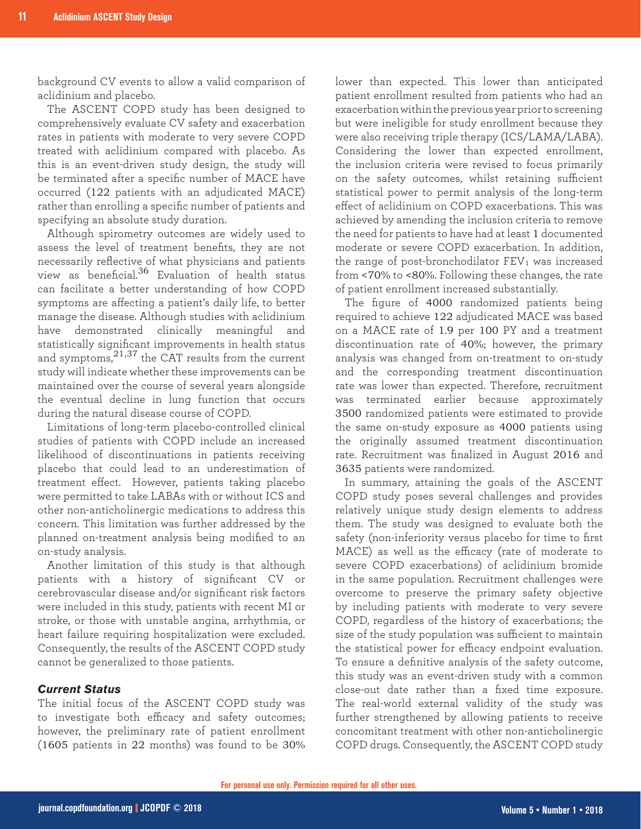background CV events to allow a valid comparison of aclidinium and placebo.

The ASCENT COPD study has been designed to comprehensively evaluate CV safety and exacerbation rates in patients with moderate to very severe COPD treated with aclidinium compared with placebo. As this is an event-driven study design, the study will be terminated after a specific number of MACE have occurred (122 patients with an adjudicated MACE) rather than enrolling a specific number of patients and specifying an absolute study duration.

Although spirometry outcomes are widely used to assess the level of treatment benefits, they are not necessarily reflective of what physicians and patients view as beneficial.<sup>36</sup> Evaluation of health status can facilitate a better understanding of how COPD symptoms are affecting a patient's daily life, to better manage the disease. Although studies with aclidinium have demonstrated clinically meaningful and statistically significant improvements in health status and symptoms,21,37 the CAT results from the current study will indicate whether these improvements can be maintained over the course of several years alongside the eventual decline in lung function that occurs during the natural disease course of COPD.

Limitations of long-term placebo-controlled clinical studies of patients with COPD include an increased likelihood of discontinuations in patients receiving placebo that could lead to an underestimation of treatment effect. However, patients taking placebo were permitted to take LABAs with or without ICS and other non-anticholinergic medications to address this concern. This limitation was further addressed by the planned on-treatment analysis being modified to an on-study analysis.

Another limitation of this study is that although patients with a history of significant CV or cerebrovascular disease and/or significant risk factors were included in this study, patients with recent MI or stroke, or those with unstable angina, arrhythmia, or heart failure requiring hospitalization were excluded. Consequently, the results of the ASCENT COPD study cannot be generalized to those patients.

#### *Current Status*

The initial focus of the ASCENT COPD study was to investigate both efficacy and safety outcomes; however, the preliminary rate of patient enrollment (1605 patients in 22 months) was found to be 30% lower than expected. This lower than anticipated patient enrollment resulted from patients who had an exacerbation within the previous year prior to screening but were ineligible for study enrollment because they were also receiving triple therapy (ICS/LAMA/LABA). Considering the lower than expected enrollment, the inclusion criteria were revised to focus primarily on the safety outcomes, whilst retaining sufficient statistical power to permit analysis of the long-term effect of aclidinium on COPD exacerbations. This was achieved by amending the inclusion criteria to remove the need for patients to have had at least 1 documented moderate or severe COPD exacerbation. In addition, the range of post-bronchodilator  $FEV<sub>1</sub>$  was increased from <70% to <80%. Following these changes, the rate of patient enrollment increased substantially.

The figure of 4000 randomized patients being required to achieve 122 adjudicated MACE was based on a MACE rate of 1.9 per 100 PY and a treatment discontinuation rate of 40%; however, the primary analysis was changed from on-treatment to on-study and the corresponding treatment discontinuation rate was lower than expected. Therefore, recruitment was terminated earlier because approximately 3500 randomized patients were estimated to provide the same on-study exposure as 4000 patients using the originally assumed treatment discontinuation rate. Recruitment was finalized in August 2016 and 3635 patients were randomized.

In summary, attaining the goals of the ASCENT COPD study poses several challenges and provides relatively unique study design elements to address them. The study was designed to evaluate both the safety (non-inferiority versus placebo for time to first MACE) as well as the efficacy (rate of moderate to severe COPD exacerbations) of aclidinium bromide in the same population. Recruitment challenges were overcome to preserve the primary safety objective by including patients with moderate to very severe COPD, regardless of the history of exacerbations; the size of the study population was sufficient to maintain the statistical power for efficacy endpoint evaluation. To ensure a definitive analysis of the safety outcome, this study was an event-driven study with a common close-out date rather than a fixed time exposure. The real-world external validity of the study was further strengthened by allowing patients to receive concomitant treatment with other non-anticholinergic COPD drugs. Consequently, the ASCENT COPD study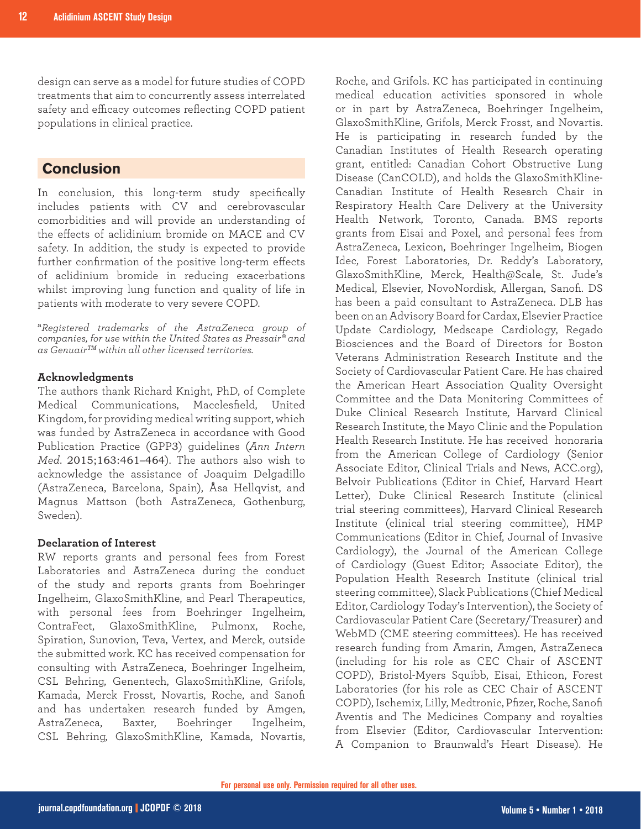design can serve as a model for future studies of COPD treatments that aim to concurrently assess interrelated safety and efficacy outcomes reflecting COPD patient populations in clinical practice.

# **Conclusion**

In conclusion, this long-term study specifically includes patients with CV and cerebrovascular comorbidities and will provide an understanding of the effects of aclidinium bromide on MACE and CV safety. In addition, the study is expected to provide further confirmation of the positive long-term effects of aclidinium bromide in reducing exacerbations whilst improving lung function and quality of life in patients with moderate to very severe COPD.

<sup>a</sup>*Registered trademarks of the AstraZeneca group of companies, for use within the United States as Pressair® and as GenuairTM within all other licensed territories.*

#### **Acknowledgments**

The authors thank Richard Knight, PhD, of Complete Medical Communications, Macclesfield, United Kingdom, for providing medical writing support, which was funded by AstraZeneca in accordance with Good Publication Practice (GPP3) guidelines (*Ann Intern Med*. 2015;163:461–464). The authors also wish to acknowledge the assistance of Joaquim Delgadillo (AstraZeneca, Barcelona, Spain), Åsa Hellqvist, and Magnus Mattson (both AstraZeneca, Gothenburg, Sweden).

#### **Declaration of Interest**

RW reports grants and personal fees from Forest Laboratories and AstraZeneca during the conduct of the study and reports grants from Boehringer Ingelheim, GlaxoSmithKline, and Pearl Therapeutics, with personal fees from Boehringer Ingelheim, ContraFect, GlaxoSmithKline, Pulmonx, Roche, Spiration, Sunovion, Teva, Vertex, and Merck, outside the submitted work. KC has received compensation for consulting with AstraZeneca, Boehringer Ingelheim, CSL Behring, Genentech, GlaxoSmithKline, Grifols, Kamada, Merck Frosst, Novartis, Roche, and Sanofi and has undertaken research funded by Amgen, AstraZeneca, Baxter, Boehringer Ingelheim, CSL Behring, GlaxoSmithKline, Kamada, Novartis, Roche, and Grifols. KC has participated in continuing medical education activities sponsored in whole or in part by AstraZeneca, Boehringer Ingelheim, GlaxoSmithKline, Grifols, Merck Frosst, and Novartis. He is participating in research funded by the Canadian Institutes of Health Research operating grant, entitled: Canadian Cohort Obstructive Lung Disease (CanCOLD), and holds the GlaxoSmithKline-Canadian Institute of Health Research Chair in Respiratory Health Care Delivery at the University Health Network, Toronto, Canada. BMS reports grants from Eisai and Poxel, and personal fees from AstraZeneca, Lexicon, Boehringer Ingelheim, Biogen Idec, Forest Laboratories, Dr. Reddy's Laboratory, GlaxoSmithKline, Merck, Health@Scale, St. Jude's Medical, Elsevier, NovoNordisk, Allergan, Sanofi. DS has been a paid consultant to AstraZeneca. DLB has been on an Advisory Board for Cardax, Elsevier Practice Update Cardiology, Medscape Cardiology, Regado Biosciences and the Board of Directors for Boston Veterans Administration Research Institute and the Society of Cardiovascular Patient Care. He has chaired the American Heart Association Quality Oversight Committee and the Data Monitoring Committees of Duke Clinical Research Institute, Harvard Clinical Research Institute, the Mayo Clinic and the Population Health Research Institute. He has received honoraria from the American College of Cardiology (Senior Associate Editor, Clinical Trials and News, ACC.org), Belvoir Publications (Editor in Chief, Harvard Heart Letter), Duke Clinical Research Institute (clinical trial steering committees), Harvard Clinical Research Institute (clinical trial steering committee), HMP Communications (Editor in Chief, Journal of Invasive Cardiology), the Journal of the American College of Cardiology (Guest Editor; Associate Editor), the Population Health Research Institute (clinical trial steering committee), Slack Publications (Chief Medical Editor, Cardiology Today's Intervention), the Society of Cardiovascular Patient Care (Secretary/Treasurer) and WebMD (CME steering committees). He has received research funding from Amarin, Amgen, AstraZeneca (including for his role as CEC Chair of ASCENT COPD), Bristol-Myers Squibb, Eisai, Ethicon, Forest Laboratories (for his role as CEC Chair of ASCENT COPD), Ischemix, Lilly, Medtronic, Pfizer, Roche, Sanofi Aventis and The Medicines Company and royalties from Elsevier (Editor, Cardiovascular Intervention: A Companion to Braunwald's Heart Disease). He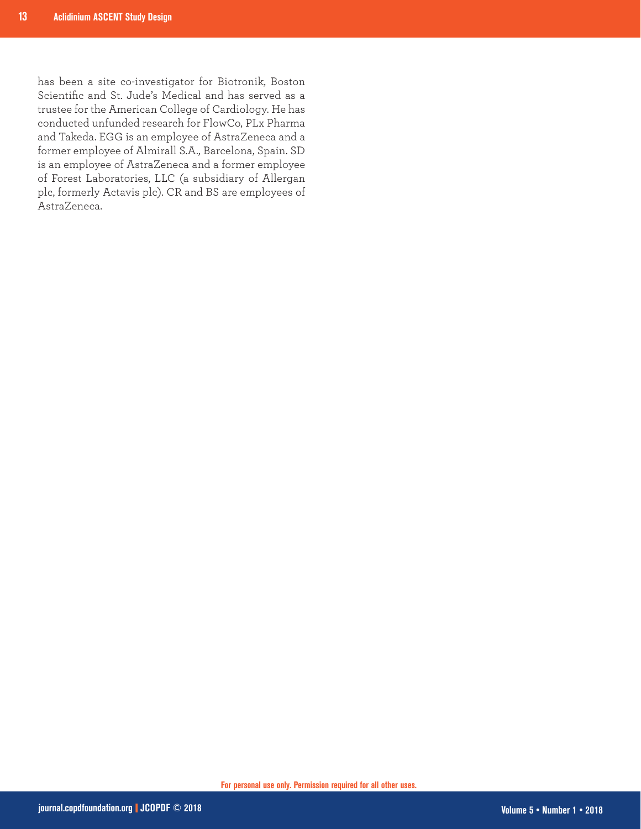has been a site co-investigator for Biotronik, Boston Scientific and St. Jude's Medical and has served as a trustee for the American College of Cardiology. He has conducted unfunded research for FlowCo, PLx Pharma and Takeda. EGG is an employee of AstraZeneca and a former employee of Almirall S.A., Barcelona, Spain. SD is an employee of AstraZeneca and a former employee of Forest Laboratories, LLC (a subsidiary of Allergan plc, formerly Actavis plc). CR and BS are employees of AstraZeneca.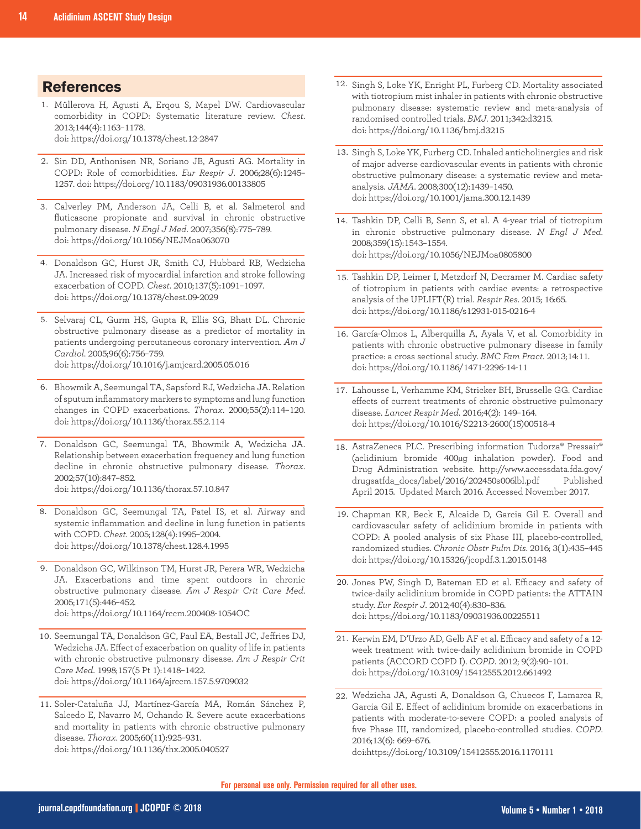## **References**

- Müllerova H, Agusti A, Erqou S, Mapel DW. Cardiovascular 1. comorbidity in COPD: Systematic literature review. *Chest*. 2013;144(4):1163–1178. doi: https://doi.org/10.1378/chest.12-2847
- 2. Sin DD, Anthonisen NR, Soriano JB, Agusti AG. Mortality in COPD: Role of comorbidities. *Eur Respir J*. 2006;28(6):1245– 1257. doi: https://doi.org/10.1183/09031936.00133805
- Calverley PM, Anderson JA, Celli B, et al. Salmeterol and 3. fluticasone propionate and survival in chronic obstructive pulmonary disease. *N Engl J Med*. 2007;356(8):775–789. doi: https://doi.org/10.1056/NEJMoa063070
- Donaldson GC, Hurst JR, Smith CJ, Hubbard RB, Wedzicha 4. JA. Increased risk of myocardial infarction and stroke following exacerbation of COPD. *Chest*. 2010;137(5):1091–1097. doi: https://doi.org/10.1378/chest.09-2029
- Selvaraj CL, Gurm HS, Gupta R, Ellis SG, Bhatt DL. Chronic 5. obstructive pulmonary disease as a predictor of mortality in patients undergoing percutaneous coronary intervention. *Am J Cardiol*. 2005;96(6):756–759. doi: https://doi.org/10.1016/j.amjcard.2005.05.016
- 6. Bhowmik A, Seemungal TA, Sapsford RJ, Wedzicha JA. Relation of sputum inflammatory markers to symptoms and lung function changes in COPD exacerbations. *Thorax*. 2000;55(2):114–120. doi: https://doi.org/10.1136/thorax.55.2.114
- 7. Donaldson GC, Seemungal TA, Bhowmik A, Wedzicha JA. Relationship between exacerbation frequency and lung function decline in chronic obstructive pulmonary disease. *Thorax*. 2002;57(10):847–852. doi: https://doi.org/10.1136/thorax.57.10.847
- 8. Donaldson GC, Seemungal TA, Patel IS, et al. Airway and systemic inflammation and decline in lung function in patients with COPD. *Chest*. 2005;128(4):1995–2004. doi: https://doi.org/10.1378/chest.128.4.1995
- 9. Donaldson GC, Wilkinson TM, Hurst JR, Perera WR, Wedzicha JA. Exacerbations and time spent outdoors in chronic obstructive pulmonary disease. *Am J Respir Crit Care Med*. 2005;171(5):446–452. doi: https://doi.org/10.1164/rccm.200408-1054OC
- 10. Seemungal TA, Donaldson GC, Paul EA, Bestall JC, Jeffries DJ, Wedzicha JA. Effect of exacerbation on quality of life in patients
- with chronic obstructive pulmonary disease. *Am J Respir Crit Care Med*. 1998;157(5 Pt 1):1418–1422. doi: https://doi.org/10.1164/ajrccm.157.5.9709032
- 11. Soler-Cataluña JJ, Martínez-García MA, Román Sánchez P, Salcedo E, Navarro M, Ochando R. Severe acute exacerbations and mortality in patients with chronic obstructive pulmonary disease. *Thorax*. 2005;60(11):925–931. doi: https://doi.org/10.1136/thx.2005.040527
- 12. Singh S, Loke YK, Enright PL, Furberg CD. Mortality associated with tiotropium mist inhaler in patients with chronic obstructive pulmonary disease: systematic review and meta-analysis of randomised controlled trials. *BMJ*. 2011;342:d3215. doi: https://doi.org/10.1136/bmj.d3215
- 13. Singh S, Loke YK, Furberg CD. Inhaled anticholinergics and risk of major adverse cardiovascular events in patients with chronic obstructive pulmonary disease: a systematic review and metaanalysis. *JAMA*. 2008;300(12):1439–1450. doi: https://doi.org/10.1001/jama.300.12.1439
- 14. Tashkin DP, Celli B, Senn S, et al. A 4-year trial of tiotropium in chronic obstructive pulmonary disease. *N Engl J Med*. 2008;359(15):1543–1554. doi: https://doi.org/10.1056/NEJMoa0805800
- 15. Tashkin DP, Leimer I, Metzdorf N, Decramer M. Cardiac safety of tiotropium in patients with cardiac events: a retrospective analysis of the UPLIFT(R) trial. *Respir Res*. 2015; 16:65. doi: https://doi.org/10.1186/s12931-015-0216-4
- 16. García-Olmos L, Alberquilla A, Ayala V, et al. Comorbidity in patients with chronic obstructive pulmonary disease in family practice: a cross sectional study. *BMC Fam Pract*. 2013;14:11. doi: https://doi.org/10.1186/1471-2296-14-11
- 17. Lahousse L, Verhamme KM, Stricker BH, Brusselle GG. Cardiac effects of current treatments of chronic obstructive pulmonary disease. *Lancet Respir Med*. 2016;4(2): 149–164. doi: https://doi.org/10.1016/S2213-2600(15)00518-4
- 18. AstraZeneca PLC. Prescribing information Tudorza® Pressair® (aclidinium bromide 400µg inhalation powder). Food and Drug Administration website. http://www.accessdata.fda.gov/ drugsatfda\_docs/label/2016/202450s006lbl.pdf Published April 2015. Updated March 2016. Accessed November 2017.
- 19. Chapman KR, Beck E, Alcaide D, Garcia Gil E. Overall and cardiovascular safety of aclidinium bromide in patients with COPD: A pooled analysis of six Phase III, placebo-controlled, randomized studies. *Chronic Obstr Pulm Dis*. 2016; 3(1):435–445 doi: https://doi.org/10.15326/jcopdf.3.1.2015.0148
- 20. Jones PW, Singh D, Bateman ED et al. Efficacy and safety of twice-daily aclidinium bromide in COPD patients: the ATTAIN study. *Eur Respir J*. 2012;40(4):830–836. doi: https://doi.org/10.1183/09031936.00225511
- 21. Kerwin EM, D'Urzo AD, Gelb AF et al. Efficacy and safety of a 12week treatment with twice-daily aclidinium bromide in COPD patients (ACCORD COPD I). *COPD*. 2012; 9(2):90–101. doi: https://doi.org/10.3109/15412555.2012.661492
- Wedzicha JA, Agusti A, Donaldson G, Chuecos F, Lamarca R, 22. Garcia Gil E. Effect of aclidinium bromide on exacerbations in patients with moderate-to-severe COPD: a pooled analysis of five Phase III, randomized, placebo-controlled studies. *COPD*. 2016;13(6): 669–676. doi:https://doi.org/10.3109/15412555.2016.1170111

**For personal use only. Permission required for all other uses.**